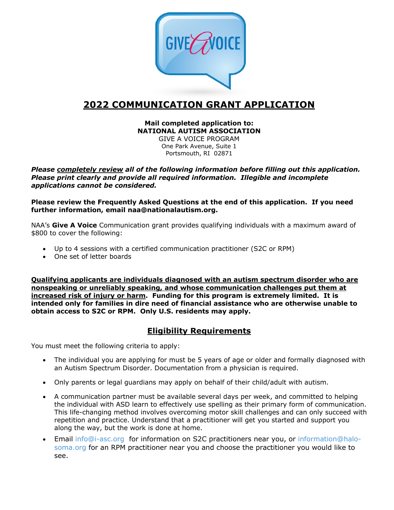

# **2022 COMMUNICATION GRANT APPLICATION**

#### **Mail completed application to: NATIONAL AUTISM ASSOCIATION**

GIVE A VOICE PROGRAM One Park Avenue, Suite 1 Portsmouth, RI 02871

*Please completely review all of the following information before filling out this application. Please print clearly and provide all required information. Illegible and incomplete applications cannot be considered.*

**Please review the Frequently Asked Questions at the end of this application. If you need further information, email naa@nationalautism.org.**

NAA's **Give A Voice** Communication grant provides qualifying individuals with a maximum award of \$800 to cover the following:

- Up to 4 sessions with a certified communication practitioner (S2C or RPM)
- One set of letter boards

**Qualifying applicants are individuals diagnosed with an autism spectrum disorder who are nonspeaking or unreliably speaking, and whose communication challenges put them at increased risk of injury or harm. Funding for this program is extremely limited. It is intended only for families in dire need of financial assistance who are otherwise unable to obtain access to S2C or RPM. Only U.S. residents may apply.**

## **Eligibility Requirements**

You must meet the following criteria to apply:

- The individual you are applying for must be 5 years of age or older and formally diagnosed with an Autism Spectrum Disorder. Documentation from a physician is required.
- Only parents or legal guardians may apply on behalf of their child/adult with autism.
- A communication partner must be available several days per week, and committed to helping the individual with ASD learn to effectively use spelling as their primary form of communication. This life-changing method involves overcoming motor skill challenges and can only succeed with repetition and practice. Understand that a practitioner will get you started and support you along the way, but the work is done at home.
- Email info@i-asc.org for information on S2C practitioners near you, or information@halosoma.org for an RPM practitioner near you and choose the practitioner you would like to see.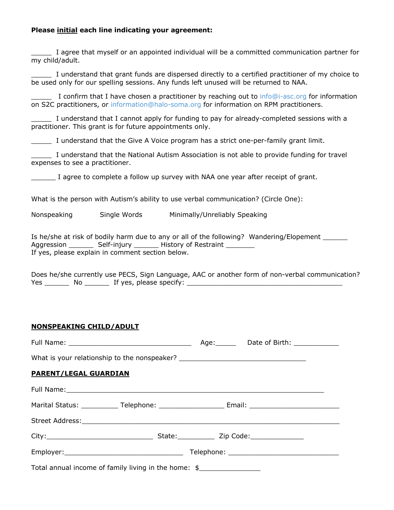#### **Please initial each line indicating your agreement:**

\_\_\_\_\_ I agree that myself or an appointed individual will be a committed communication partner for my child/adult.

\_\_\_\_\_ I understand that grant funds are dispersed directly to a certified practitioner of my choice to be used only for our spelling sessions. Any funds left unused will be returned to NAA.

I confirm that I have chosen a practitioner by reaching out to info@i-asc.org for information on S2C practitioners, or information@halo-soma.org for information on RPM practitioners.

I understand that I cannot apply for funding to pay for already-completed sessions with a practitioner. This grant is for future appointments only.

\_\_\_\_\_ I understand that the Give A Voice program has a strict one-per-family grant limit.

\_\_\_\_\_ I understand that the National Autism Association is not able to provide funding for travel expenses to see a practitioner.

I agree to complete a follow up survey with NAA one year after receipt of grant.

What is the person with Autism's ability to use verbal communication? (Circle One):

Nonspeaking Single Words Minimally/Unreliably Speaking

Is he/she at risk of bodily harm due to any or all of the following? Wandering/Elopement Aggression \_\_\_\_\_\_\_\_\_ Self-injury \_\_\_\_\_\_\_\_ History of Restraint \_\_\_\_\_\_\_\_ If yes, please explain in comment section below.

Does he/she currently use PECS, Sign Language, AAC or another form of non-verbal communication? Yes \_\_\_\_\_\_\_\_\_\_\_ No \_\_\_\_\_\_\_\_\_\_\_\_\_ If yes, please specify: \_\_\_\_\_\_\_\_\_\_\_\_\_\_\_\_\_\_\_\_\_\_\_

#### **NONSPEAKING CHILD/ADULT**

| What is your relationship to the nonspeaker? ___________________________________                     |  |  |
|------------------------------------------------------------------------------------------------------|--|--|
| <b>PARENT/LEGAL GUARDIAN</b>                                                                         |  |  |
|                                                                                                      |  |  |
| Marital Status: ______________Telephone: _________________________Email: ___________________________ |  |  |
|                                                                                                      |  |  |
|                                                                                                      |  |  |
|                                                                                                      |  |  |
| Total annual income of family living in the home: \$                                                 |  |  |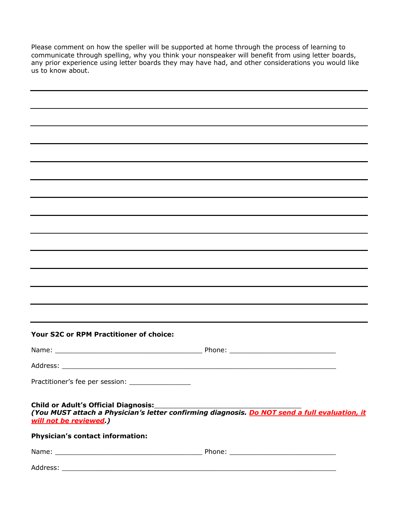Please comment on how the speller will be supported at home through the process of learning to communicate through spelling, why you think your nonspeaker will benefit from using letter boards, any prior experience using letter boards they may have had, and other considerations you would like us to know about.

| Your S2C or RPM Practitioner of choice:                        |  |
|----------------------------------------------------------------|--|
|                                                                |  |
|                                                                |  |
| Practitioner's fee per session: ___________________            |  |
| Child or Adult's Official Diagnosis:<br>will not be reviewed.) |  |
| <b>Physician's contact information:</b>                        |  |
|                                                                |  |
|                                                                |  |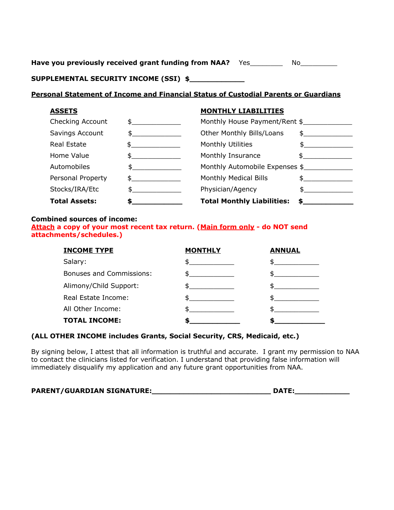Have you previously received grant funding from NAA? Yes\_\_\_\_\_\_\_\_ No\_\_\_\_\_\_\_\_\_

**SUPPLEMENTAL SECURITY INCOME (SSI) \$\_\_\_\_\_\_\_\_\_\_\_\_**

#### **Personal Statement of Income and Financial Status of Custodial Parents or Guardians**

#### **ASSETS MONTHLY LIABILITIES**

| Checking Account     | $\mathbb{S}$ and $\mathbb{S}$ and $\mathbb{S}$ and $\mathbb{S}$ and $\mathbb{S}$ and $\mathbb{S}$ and $\mathbb{S}$ and $\mathbb{S}$ and $\mathbb{S}$ and $\mathbb{S}$ and $\mathbb{S}$ and $\mathbb{S}$ and $\mathbb{S}$ and $\mathbb{S}$ and $\mathbb{S}$ and $\mathbb{S}$ and $\mathbb{S}$ and                                                | Monthly House Payment/Rent \$     |                                                                                                                                                                                                                                                                                                                                                 |
|----------------------|-------------------------------------------------------------------------------------------------------------------------------------------------------------------------------------------------------------------------------------------------------------------------------------------------------------------------------------------------|-----------------------------------|-------------------------------------------------------------------------------------------------------------------------------------------------------------------------------------------------------------------------------------------------------------------------------------------------------------------------------------------------|
| Savings Account      | $\mathfrak s$ and $\mathfrak s$ and $\mathfrak s$ and $\mathfrak s$ and $\mathfrak s$ and $\mathfrak s$ and $\mathfrak s$ and $\mathfrak s$ and $\mathfrak s$ and $\mathfrak s$ and $\mathfrak s$ and $\mathfrak s$ and $\mathfrak s$ and $\mathfrak s$ and $\mathfrak s$ and $\mathfrak s$ and $\mathfrak s$ and $\mathfrak s$ and $\mathfrak$ | Other Monthly Bills/Loans         | $\mathfrak s$ and $\mathfrak s$ and $\mathfrak s$ and $\mathfrak s$ and $\mathfrak s$ and $\mathfrak s$ and $\mathfrak s$ and $\mathfrak s$ and $\mathfrak s$ and $\mathfrak s$ and $\mathfrak s$ and $\mathfrak s$ and $\mathfrak s$ and $\mathfrak s$ and $\mathfrak s$ and $\mathfrak s$ and $\mathfrak s$ and $\mathfrak s$ and $\mathfrak$ |
| Real Estate          |                                                                                                                                                                                                                                                                                                                                                 | Monthly Utilities                 | s.                                                                                                                                                                                                                                                                                                                                              |
| Home Value           |                                                                                                                                                                                                                                                                                                                                                 | Monthly Insurance                 |                                                                                                                                                                                                                                                                                                                                                 |
| Automobiles          |                                                                                                                                                                                                                                                                                                                                                 | Monthly Automobile Expenses \$    |                                                                                                                                                                                                                                                                                                                                                 |
| Personal Property    | $\mathbb{S}$ and $\mathbb{S}$                                                                                                                                                                                                                                                                                                                   | Monthly Medical Bills             |                                                                                                                                                                                                                                                                                                                                                 |
| Stocks/IRA/Etc       |                                                                                                                                                                                                                                                                                                                                                 | Physician/Agency                  |                                                                                                                                                                                                                                                                                                                                                 |
| <b>Total Assets:</b> |                                                                                                                                                                                                                                                                                                                                                 | <b>Total Monthly Liabilities:</b> |                                                                                                                                                                                                                                                                                                                                                 |

#### **Combined sources of income:**

**Attach a copy of your most recent tax return. (Main form only - do NOT send attachments/schedules.)**

| <b>INCOME TYPE</b>              | <b>MONTHLY</b>                                                                                                                                                                                                                                                                                   | <b>ANNUAL</b> |
|---------------------------------|--------------------------------------------------------------------------------------------------------------------------------------------------------------------------------------------------------------------------------------------------------------------------------------------------|---------------|
| Salary:                         |                                                                                                                                                                                                                                                                                                  |               |
| <b>Bonuses and Commissions:</b> | $\mathbb{S}$                                                                                                                                                                                                                                                                                     |               |
| Alimony/Child Support:          |                                                                                                                                                                                                                                                                                                  |               |
| Real Estate Income:             | $\mathbb{S}$ and $\mathbb{S}$ and $\mathbb{S}$ and $\mathbb{S}$ and $\mathbb{S}$ and $\mathbb{S}$ and $\mathbb{S}$ and $\mathbb{S}$ and $\mathbb{S}$ and $\mathbb{S}$ and $\mathbb{S}$ and $\mathbb{S}$ and $\mathbb{S}$ and $\mathbb{S}$ and $\mathbb{S}$ and $\mathbb{S}$ and $\mathbb{S}$ and |               |
| All Other Income:               |                                                                                                                                                                                                                                                                                                  |               |
| <b>TOTAL INCOME:</b>            |                                                                                                                                                                                                                                                                                                  |               |

### **(ALL OTHER INCOME includes Grants, Social Security, CRS, Medicaid, etc.)**

By signing below, I attest that all information is truthful and accurate. I grant my permission to NAA to contact the clinicians listed for verification. I understand that providing false information will immediately disqualify my application and any future grant opportunities from NAA.

|  | <b>PARENT/GUARDIAN SIGNATURE:</b> |  |
|--|-----------------------------------|--|
|  |                                   |  |

|  | 4 F<br>- -<br>.<br>١<br>. .<br> |
|--|---------------------------------|
|  |                                 |